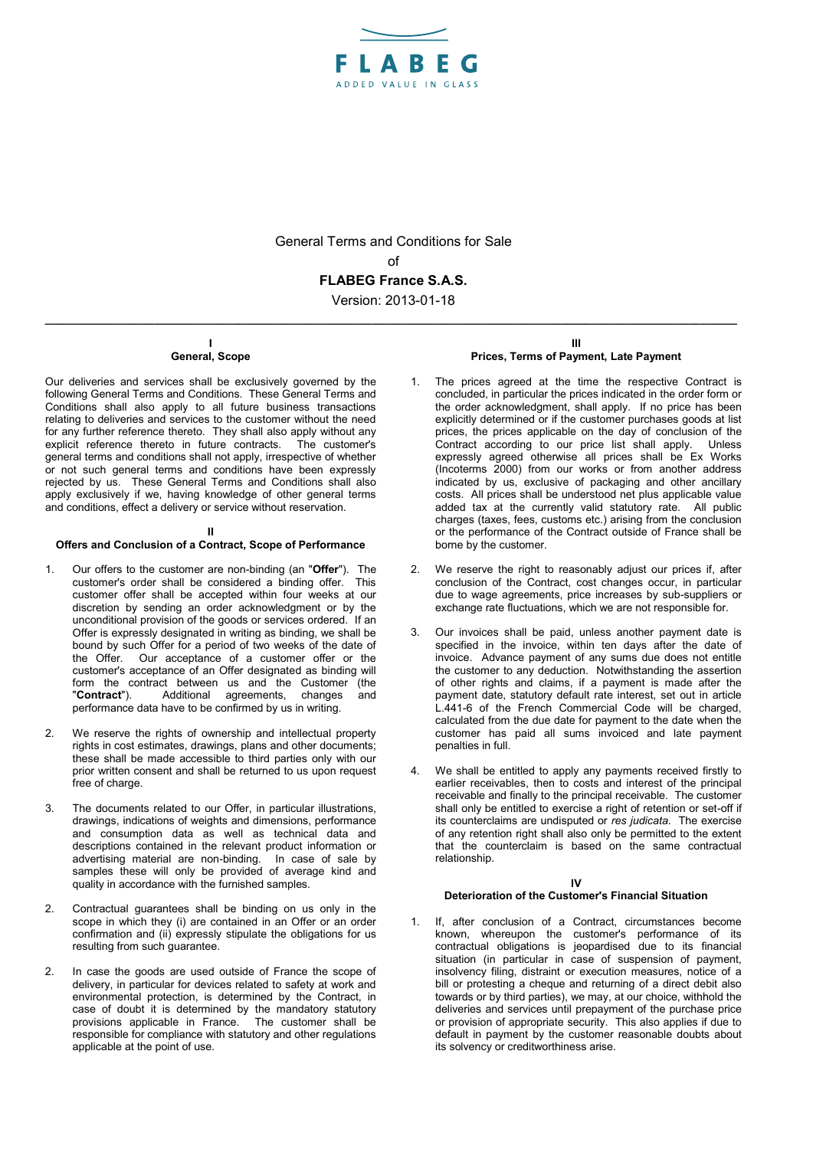

General Terms and Conditions for Sale

of

**FLABEG France S.A.S.**

Version: 2013-01-18 **\_\_\_\_\_\_\_\_\_\_\_\_\_\_\_\_\_\_\_\_\_\_\_\_\_\_\_\_\_\_\_\_\_\_\_\_\_\_\_\_\_\_\_\_\_\_\_\_\_\_\_\_\_\_\_\_\_\_\_\_\_\_\_\_\_\_\_\_\_\_\_\_\_\_\_\_\_\_\_\_\_\_\_\_\_\_\_\_\_\_\_\_\_\_\_\_\_\_\_\_\_\_\_\_\_\_\_\_\_\_\_\_\_\_**

#### **I General, Scope**

Our deliveries and services shall be exclusively governed by the following General Terms and Conditions. These General Terms and Conditions shall also apply to all future business transactions relating to deliveries and services to the customer without the need for any further reference thereto. They shall also apply without any explicit reference thereto in future contracts. The customer's general terms and conditions shall not apply, irrespective of whether or not such general terms and conditions have been expressly rejected by us. These General Terms and Conditions shall also apply exclusively if we, having knowledge of other general terms and conditions, effect a delivery or service without reservation.

## **II**

## **Offers and Conclusion of a Contract, Scope of Performance**

- 1. Our offers to the customer are non-binding (an "**Offer**"). The customer's order shall be considered a binding offer. customer offer shall be accepted within four weeks at our discretion by sending an order acknowledgment or by the unconditional provision of the goods or services ordered. If an Offer is expressly designated in writing as binding, we shall be bound by such Offer for a period of two weeks of the date of the Offer. Our acceptance of a customer offer or the customer's acceptance of an Offer designated as binding will form the contract between us and the Customer (the "**Contract**"). Additional agreements, changes and performance data have to be confirmed by us in writing.
- 2. We reserve the rights of ownership and intellectual property rights in cost estimates, drawings, plans and other documents; these shall be made accessible to third parties only with our prior written consent and shall be returned to us upon request free of charge.
- 3. The documents related to our Offer, in particular illustrations, drawings, indications of weights and dimensions, performance and consumption data as well as technical data and descriptions contained in the relevant product information or advertising material are non-binding. In case of sale by samples these will only be provided of average kind and quality in accordance with the furnished samples.
- 2. Contractual guarantees shall be binding on us only in the scope in which they (i) are contained in an Offer or an order confirmation and (ii) expressly stipulate the obligations for us resulting from such guarantee.
- 2. In case the goods are used outside of France the scope of delivery, in particular for devices related to safety at work and environmental protection, is determined by the Contract, in case of doubt it is determined by the mandatory statutory provisions applicable in France. The customer shall be responsible for compliance with statutory and other regulations applicable at the point of use.

#### **III Prices, Terms of Payment, Late Payment**

- The prices agreed at the time the respective Contract is concluded, in particular the prices indicated in the order form or the order acknowledgment, shall apply. If no price has been explicitly determined or if the customer purchases goods at list prices, the prices applicable on the day of conclusion of the Contract according to our price list shall apply. Unless expressly agreed otherwise all prices shall be Ex Works (Incoterms 2000) from our works or from another address indicated by us, exclusive of packaging and other ancillary costs. All prices shall be understood net plus applicable value added tax at the currently valid statutory rate. All public charges (taxes, fees, customs etc.) arising from the conclusion or the performance of the Contract outside of France shall be borne by the customer.
- We reserve the right to reasonably adjust our prices if, after conclusion of the Contract, cost changes occur, in particular due to wage agreements, price increases by sub-suppliers or exchange rate fluctuations, which we are not responsible for.
- Our invoices shall be paid, unless another payment date is specified in the invoice, within ten days after the date of invoice. Advance payment of any sums due does not entitle the customer to any deduction. Notwithstanding the assertion of other rights and claims, if a payment is made after the payment date, statutory default rate interest, set out in article L.441-6 of the French Commercial Code will be charged, calculated from the due date for payment to the date when the customer has paid all sums invoiced and late payment penalties in full.
- We shall be entitled to apply any payments received firstly to earlier receivables, then to costs and interest of the principal receivable and finally to the principal receivable. The customer shall only be entitled to exercise a right of retention or set-off if its counterclaims are undisputed or *res judicata*. The exercise of any retention right shall also only be permitted to the extent that the counterclaim is based on the same contractual relationship.

## **IV**

## **Deterioration of the Customer's Financial Situation**

1. If, after conclusion of a Contract, circumstances become known, whereupon the customer's performance of its contractual obligations is jeopardised due to its financial situation (in particular in case of suspension of payment, insolvency filing, distraint or execution measures, notice of a bill or protesting a cheque and returning of a direct debit also towards or by third parties), we may, at our choice, withhold the deliveries and services until prepayment of the purchase price or provision of appropriate security. This also applies if due to default in payment by the customer reasonable doubts about its solvency or creditworthiness arise.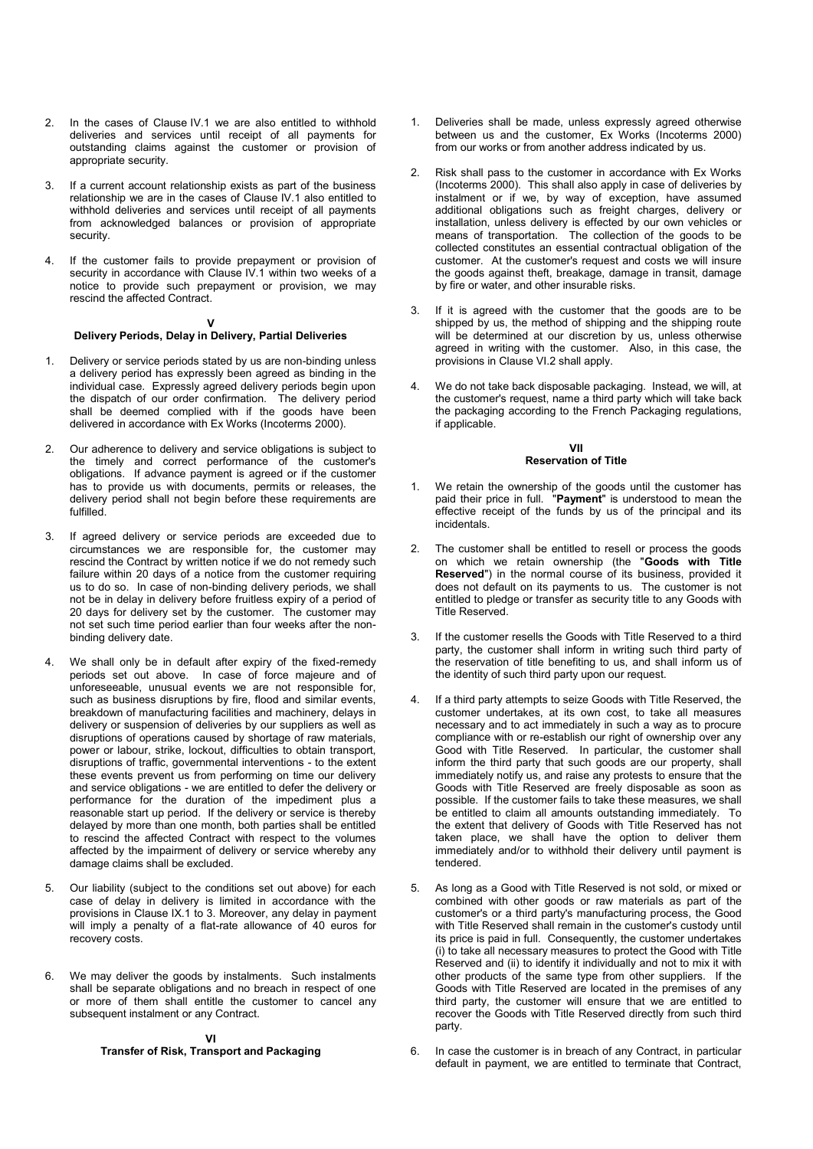- 2. In the cases of Clause IV.1 we are also entitled to withhold deliveries and services until receipt of all payments for outstanding claims against the customer or provision of appropriate security.
- 3. If a current account relationship exists as part of the business relationship we are in the cases of Clause IV.1 also entitled to withhold deliveries and services until receipt of all payments from acknowledged balances or provision of appropriate security.
- 4. If the customer fails to provide prepayment or provision of security in accordance with Clause IV.1 within two weeks of a notice to provide such prepayment or provision, we may rescind the affected Contract.

### **V**

## **Delivery Periods, Delay in Delivery, Partial Deliveries**

- 1. Delivery or service periods stated by us are non-binding unless a delivery period has expressly been agreed as binding in the individual case. Expressly agreed delivery periods begin upon the dispatch of our order confirmation. The delivery period shall be deemed complied with if the goods have been delivered in accordance with Ex Works (Incoterms 2000).
- 2. Our adherence to delivery and service obligations is subject to the timely and correct performance of the customer's obligations. If advance payment is agreed or if the customer has to provide us with documents, permits or releases, the delivery period shall not begin before these requirements are fulfilled.
- 3. If agreed delivery or service periods are exceeded due to circumstances we are responsible for, the customer may rescind the Contract by written notice if we do not remedy such failure within 20 days of a notice from the customer requiring us to do so. In case of non-binding delivery periods, we shall not be in delay in delivery before fruitless expiry of a period of 20 days for delivery set by the customer. The customer may not set such time period earlier than four weeks after the nonbinding delivery date.
- 4. We shall only be in default after expiry of the fixed-remedy periods set out above. In case of force majeure and of unforeseeable, unusual events we are not responsible for, such as business disruptions by fire, flood and similar events, breakdown of manufacturing facilities and machinery, delays in delivery or suspension of deliveries by our suppliers as well as disruptions of operations caused by shortage of raw materials, power or labour, strike, lockout, difficulties to obtain transport, disruptions of traffic, governmental interventions - to the extent these events prevent us from performing on time our delivery and service obligations - we are entitled to defer the delivery or performance for the duration of the impediment plus a reasonable start up period. If the delivery or service is thereby delayed by more than one month, both parties shall be entitled to rescind the affected Contract with respect to the volumes affected by the impairment of delivery or service whereby any damage claims shall be excluded.
- 5. Our liability (subject to the conditions set out above) for each case of delay in delivery is limited in accordance with the provisions in Clause IX.1 to 3. Moreover, any delay in payment will imply a penalty of a flat-rate allowance of 40 euros for recovery costs.
- 6. We may deliver the goods by instalments. Such instalments shall be separate obligations and no breach in respect of one or more of them shall entitle the customer to cancel any subsequent instalment or any Contract.

## **VI Transfer of Risk, Transport and Packaging**

- Deliveries shall be made, unless expressly agreed otherwise between us and the customer, Ex Works (Incoterms 2000) from our works or from another address indicated by us.
- Risk shall pass to the customer in accordance with Ex Works (Incoterms 2000). This shall also apply in case of deliveries by instalment or if we, by way of exception, have assumed additional obligations such as freight charges, delivery or installation, unless delivery is effected by our own vehicles or means of transportation. The collection of the goods to be collected constitutes an essential contractual obligation of the customer. At the customer's request and costs we will insure the goods against theft, breakage, damage in transit, damage by fire or water, and other insurable risks.
- If it is agreed with the customer that the goods are to be shipped by us, the method of shipping and the shipping route will be determined at our discretion by us, unless otherwise agreed in writing with the customer. Also, in this case, the provisions in Clause VI.2 shall apply.
- We do not take back disposable packaging. Instead, we will, at the customer's request, name a third party which will take back the packaging according to the French Packaging regulations, if applicable.

### **VII Reservation of Title**

- We retain the ownership of the goods until the customer has paid their price in full. "**Payment**" is understood to mean the effective receipt of the funds by us of the principal and its incidentals.
- The customer shall be entitled to resell or process the goods on which we retain ownership (the "**Goods with Title Reserved**") in the normal course of its business, provided it does not default on its payments to us. The customer is not entitled to pledge or transfer as security title to any Goods with Title Reserved.
- 3. If the customer resells the Goods with Title Reserved to a third party, the customer shall inform in writing such third party of the reservation of title benefiting to us, and shall inform us of the identity of such third party upon our request.
- If a third party attempts to seize Goods with Title Reserved, the customer undertakes, at its own cost, to take all measures necessary and to act immediately in such a way as to procure compliance with or re-establish our right of ownership over any Good with Title Reserved. In particular, the customer shall inform the third party that such goods are our property, shall immediately notify us, and raise any protests to ensure that the Goods with Title Reserved are freely disposable as soon as possible. If the customer fails to take these measures, we shall be entitled to claim all amounts outstanding immediately. To the extent that delivery of Goods with Title Reserved has not taken place, we shall have the option to deliver them immediately and/or to withhold their delivery until payment is tendered.
- As long as a Good with Title Reserved is not sold, or mixed or combined with other goods or raw materials as part of the customer's or a third party's manufacturing process, the Good with Title Reserved shall remain in the customer's custody until its price is paid in full. Consequently, the customer undertakes (i) to take all necessary measures to protect the Good with Title Reserved and (ii) to identify it individually and not to mix it with other products of the same type from other suppliers. If the Goods with Title Reserved are located in the premises of any third party, the customer will ensure that we are entitled to recover the Goods with Title Reserved directly from such third party.
- 6. In case the customer is in breach of any Contract, in particular default in payment, we are entitled to terminate that Contract,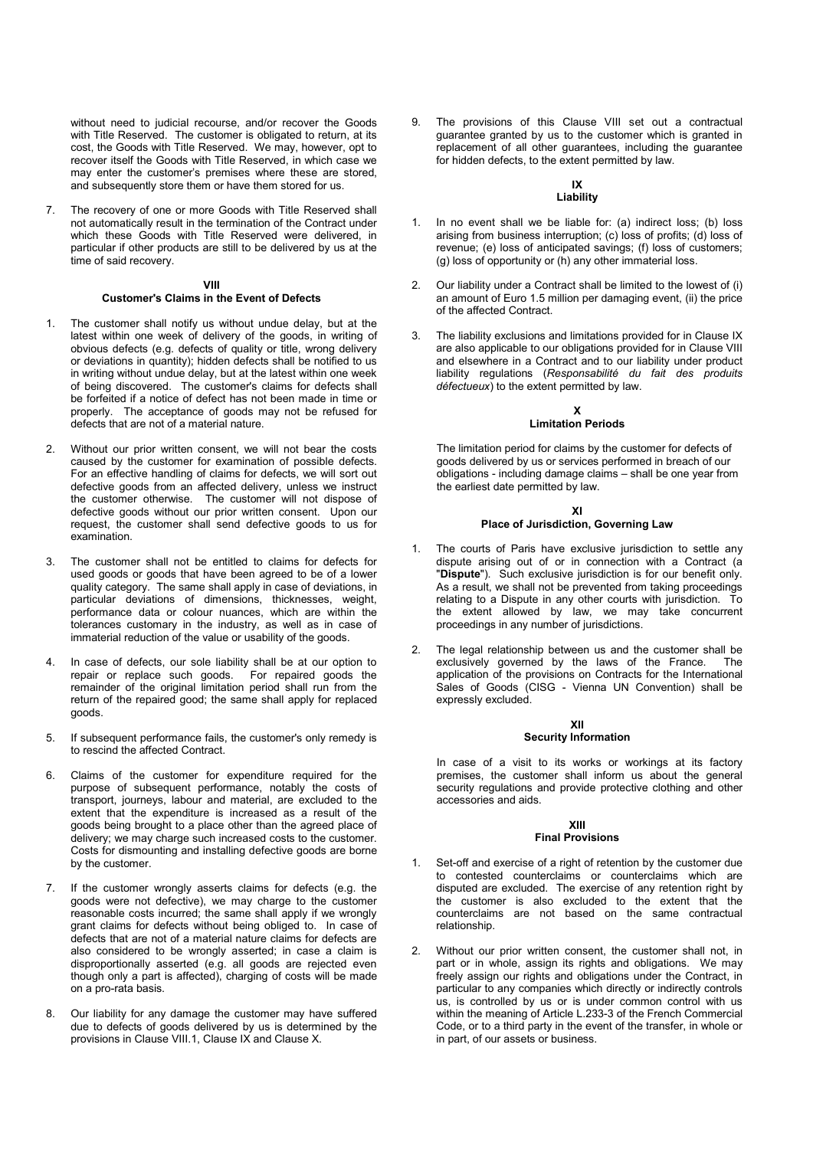without need to judicial recourse, and/or recover the Goods with Title Reserved. The customer is obligated to return, at its cost, the Goods with Title Reserved. We may, however, opt to recover itself the Goods with Title Reserved, in which case we may enter the customer's premises where these are stored, and subsequently store them or have them stored for us.

7. The recovery of one or more Goods with Title Reserved shall not automatically result in the termination of the Contract under which these Goods with Title Reserved were delivered, in particular if other products are still to be delivered by us at the time of said recovery.

#### **VIII**

### **Customer's Claims in the Event of Defects**

- 1. The customer shall notify us without undue delay, but at the latest within one week of delivery of the goods, in writing of obvious defects (e.g. defects of quality or title, wrong delivery or deviations in quantity); hidden defects shall be notified to us in writing without undue delay, but at the latest within one week of being discovered. The customer's claims for defects shall be forfeited if a notice of defect has not been made in time or properly. The acceptance of goods may not be refused for defects that are not of a material nature.
- 2. Without our prior written consent, we will not bear the costs caused by the customer for examination of possible defects. For an effective handling of claims for defects, we will sort out defective goods from an affected delivery, unless we instruct the customer otherwise. The customer will not dispose of defective goods without our prior written consent. Upon our request, the customer shall send defective goods to us for examination.
- 3. The customer shall not be entitled to claims for defects for used goods or goods that have been agreed to be of a lower quality category. The same shall apply in case of deviations, in particular deviations of dimensions, thicknesses, weight, performance data or colour nuances, which are within the tolerances customary in the industry, as well as in case of immaterial reduction of the value or usability of the goods.
- In case of defects, our sole liability shall be at our option to repair or replace such goods. For repaired goods the remainder of the original limitation period shall run from the return of the repaired good; the same shall apply for replaced goods.
- 5. If subsequent performance fails, the customer's only remedy is to rescind the affected Contract.
- 6. Claims of the customer for expenditure required for the purpose of subsequent performance, notably the costs of transport, journeys, labour and material, are excluded to the extent that the expenditure is increased as a result of the goods being brought to a place other than the agreed place of delivery; we may charge such increased costs to the customer. Costs for dismounting and installing defective goods are borne by the customer.
- 7. If the customer wrongly asserts claims for defects (e.g. the goods were not defective), we may charge to the customer reasonable costs incurred; the same shall apply if we wrongly grant claims for defects without being obliged to. In case of defects that are not of a material nature claims for defects are also considered to be wrongly asserted; in case a claim is disproportionally asserted (e.g. all goods are rejected even though only a part is affected), charging of costs will be made on a pro-rata basis.
- 8. Our liability for any damage the customer may have suffered due to defects of goods delivered by us is determined by the provisions in Clause VIII.1, Clause IX and Clause X.

The provisions of this Clause VIII set out a contractual guarantee granted by us to the customer which is granted in replacement of all other guarantees, including the guarantee for hidden defects, to the extent permitted by law.

#### **IX Liability**

- 1. In no event shall we be liable for: (a) indirect loss; (b) loss arising from business interruption; (c) loss of profits; (d) loss of revenue; (e) loss of anticipated savings; (f) loss of customers; (g) loss of opportunity or (h) any other immaterial loss.
- 2. Our liability under a Contract shall be limited to the lowest of (i) an amount of Euro 1.5 million per damaging event, (ii) the price of the affected Contract.
- 3. The liability exclusions and limitations provided for in Clause IX are also applicable to our obligations provided for in Clause VIII and elsewhere in a Contract and to our liability under product liability regulations (*Responsabilité du fait des produits défectueux*) to the extent permitted by law.

# **X**

# **Limitation Periods**

The limitation period for claims by the customer for defects of goods delivered by us or services performed in breach of our obligations - including damage claims – shall be one year from the earliest date permitted by law.

## **XI Place of Jurisdiction, Governing Law**

- The courts of Paris have exclusive jurisdiction to settle any dispute arising out of or in connection with a Contract (a "**Dispute**"). Such exclusive jurisdiction is for our benefit only. As a result, we shall not be prevented from taking proceedings relating to a Dispute in any other courts with jurisdiction. To the extent allowed by law, we may take concurrent proceedings in any number of jurisdictions.
- 2. The legal relationship between us and the customer shall be exclusively governed by the laws of the France. application of the provisions on Contracts for the International Sales of Goods (CISG - Vienna UN Convention) shall be expressly excluded.

# **XII**

## **Security Information**

In case of a visit to its works or workings at its factory premises, the customer shall inform us about the general security regulations and provide protective clothing and other accessories and aids.

### **XIII Final Provisions**

- 1. Set-off and exercise of a right of retention by the customer due to contested counterclaims or counterclaims which are disputed are excluded. The exercise of any retention right by the customer is also excluded to the extent that the counterclaims are not based on the same contractual relationship.
- 2. Without our prior written consent, the customer shall not, in part or in whole, assign its rights and obligations. We may freely assign our rights and obligations under the Contract, in particular to any companies which directly or indirectly controls us, is controlled by us or is under common control with us within the meaning of Article L.233-3 of the French Commercial Code, or to a third party in the event of the transfer, in whole or in part, of our assets or business.